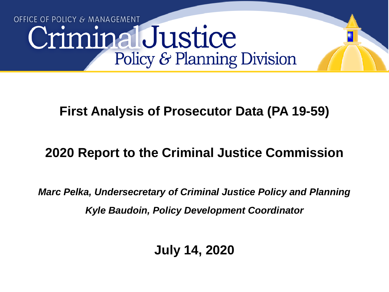# OFFICE OF POLICY & MANAGEMENT CriminalJustice Policy & Planning Division

# **First Analysis of Prosecutor Data (PA 19-59)**

# **2020 Report to the Criminal Justice Commission**

*Marc Pelka, Undersecretary of Criminal Justice Policy and Planning Kyle Baudoin, Policy Development Coordinator*

**July 14, 2020**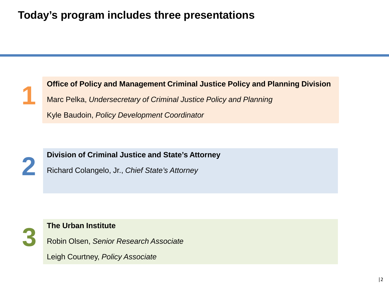### **Today's program includes three presentations**





**2 Division of Criminal Justice and State's Attorney**<br>Richard Colangelo, Jr., Chief State's Attorney

Richard Colangelo, Jr., *Chief State's Attorney* 



**3 The Urban Institute**<br>Robin Olsen, Senior Robin Olsen, *Senior Research Associate*

Leigh Courtney, *Policy Associate*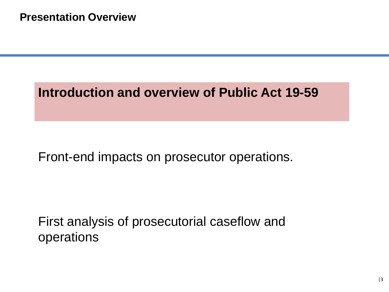# **Introduction and overview of Public Act 19-59**

## Front-end impacts on prosecutor operations.

First analysis of prosecutorial caseflow and operations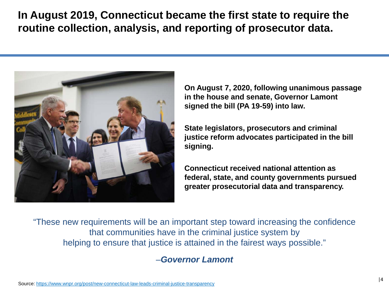**In August 2019, Connecticut became the first state to require the routine collection, analysis, and reporting of prosecutor data.**



**On August 7, 2020, following unanimous passage in the house and senate, Governor Lamont signed the bill (PA 19-59) into law.** 

**State legislators, prosecutors and criminal justice reform advocates participated in the bill signing.** 

**Connecticut received national attention as federal, state, and county governments pursued greater prosecutorial data and transparency.**

"These new requirements will be an important step toward increasing the confidence that communities have in the criminal justice system by helping to ensure that justice is attained in the fairest ways possible."

#### –*Governor Lamont*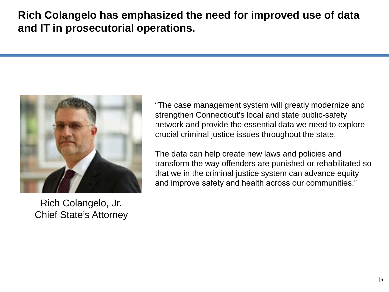### **Rich Colangelo has emphasized the need for improved use of data and IT in prosecutorial operations.**



Rich Colangelo, Jr. Chief State's Attorney

"The case management system will greatly modernize and strengthen Connecticut's local and state public-safety network and provide the essential data we need to explore crucial criminal justice issues throughout the state.

The data can help create new laws and policies and transform the way offenders are punished or rehabilitated so that we in the criminal justice system can advance equity and improve safety and health across our communities."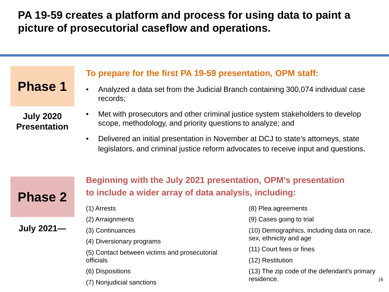**PA 19-59 creates a platform and process for using data to paint a picture of prosecutorial caseflow and operations.**

**Phase 1**

**July 2020 Presentation**

#### **To prepare for the first PA 19-59 presentation, OPM staff:**

- Analyzed a data set from the Judicial Branch containing 300,074 individual case records;
- Met with prosecutors and other criminal justice system stakeholders to develop scope, methodology, and priority questions to analyze; and
- Delivered an initial presentation in November at DCJ to state's attorneys, state legislators, and criminal justice reform advocates to receive input and questions.



**July 2021—**

**Beginning with the July 2021 presentation, OPM's presentation to include a wider array of data analysis, including:** 

- (1) Arrests
- (2) Arraignments
- (3) Continuances
	- (4) Diversionary programs

(5) Contact between victims and prosecutorial officials

- (6) Dispositions
- (7) Nonjudicial sanctions
- (8) Plea agreements
- (9) Cases going to trial
- (10) Demographics, including data on race, sex, ethnicity and age
- (11) Court fees or fines
- (12) Restitution
- (13) The zip code of the defendant's primary residence.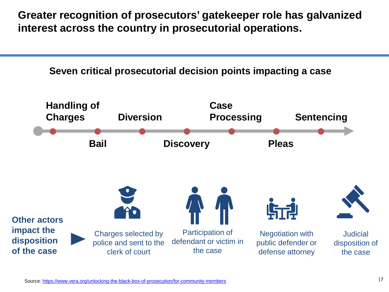**Greater recognition of prosecutors' gatekeeper role has galvanized interest across the country in prosecutorial operations.**

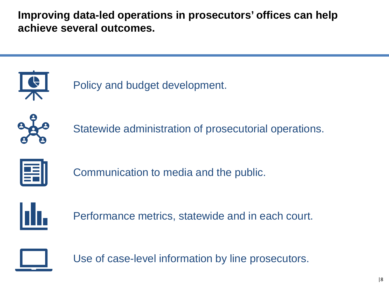**Improving data-led operations in prosecutors' offices can help achieve several outcomes.** 



Policy and budget development.



Statewide administration of prosecutorial operations.



Communication to media and the public.



Performance metrics, statewide and in each court.



Use of case-level information by line prosecutors.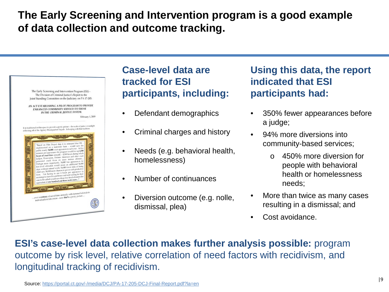## **The Early Screening and Intervention program is a good example of data collection and outcome tracking.**



#### **Case-level data are tracked for ESI participants, including:**

- Defendant demographics
- Criminal charges and history
- Needs (e.g. behavioral health, homelessness)
- Number of continuances
- Diversion outcome (e.g. nolle, dismissal, plea)

**Using this data, the report indicated that ESI participants had:**

- 350% fewer appearances before a judge;
- 94% more diversions into community-based services;
	- o 450% more diversion for people with behavioral health or homelessness needs;
- More than twice as many cases resulting in a dismissal; and
- Cost avoidance.

**ESI's case-level data collection makes further analysis possible:** program outcome by risk level, relative correlation of need factors with recidivism, and longitudinal tracking of recidivism.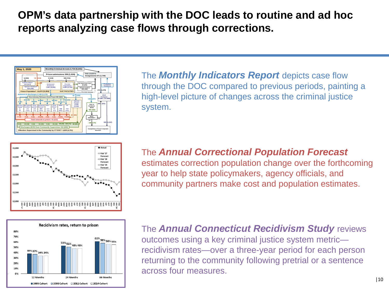### **OPM's data partnership with the DOC leads to routine and ad hoc reports analyzing case flows through corrections.**



The *Monthly Indicators Report* depicts case flow through the DOC compared to previous periods, painting a high-level picture of changes across the criminal justice system.





estimates correction population change over the forthcoming year to help state policymakers, agency officials, and community partners make cost and population estimates.



The *Annual Connecticut Recidivism Study* reviews outcomes using a key criminal justice system metric recidivism rates—over a three-year period for each person returning to the community following pretrial or a sentence across four measures.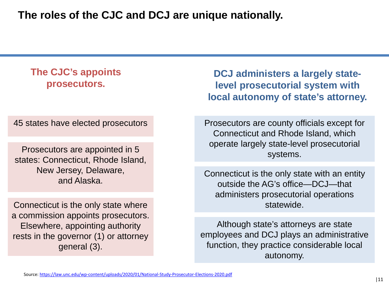**The roles of the CJC and DCJ are unique nationally.**

#### **The CJC's appoints prosecutors.**

45 states have elected prosecutors

Prosecutors are appointed in 5 states: Connecticut, Rhode Island, New Jersey, Delaware, and Alaska.

Connecticut is the only state where a commission appoints prosecutors. Elsewhere, appointing authority rests in the governor (1) or attorney general (3).

**DCJ administers a largely statelevel prosecutorial system with local autonomy of state's attorney.** 

Prosecutors are county officials except for Connecticut and Rhode Island, which operate largely state-level prosecutorial systems.

Connecticut is the only state with an entity outside the AG's office—DCJ—that administers prosecutorial operations statewide.

Although state's attorneys are state employees and DCJ plays an administrative function, they practice considerable local autonomy.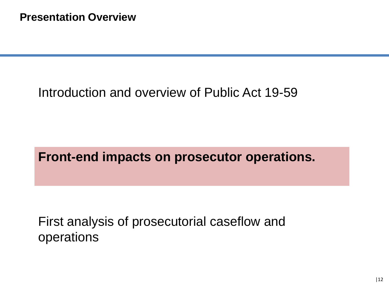# Introduction and overview of Public Act 19-59

**Front-end impacts on prosecutor operations.**

First analysis of prosecutorial caseflow and operations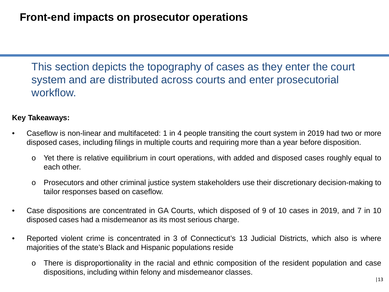This section depicts the topography of cases as they enter the court system and are distributed across courts and enter prosecutorial workflow.

#### **Key Takeaways:**

- Caseflow is non-linear and multifaceted: 1 in 4 people transiting the court system in 2019 had two or more disposed cases, including filings in multiple courts and requiring more than a year before disposition.
	- o Yet there is relative equilibrium in court operations, with added and disposed cases roughly equal to each other.
	- o Prosecutors and other criminal justice system stakeholders use their discretionary decision-making to tailor responses based on caseflow.
- Case dispositions are concentrated in GA Courts, which disposed of 9 of 10 cases in 2019, and 7 in 10 disposed cases had a misdemeanor as its most serious charge.
- Reported violent crime is concentrated in 3 of Connecticut's 13 Judicial Districts, which also is where majorities of the state's Black and Hispanic populations reside
	- o There is disproportionality in the racial and ethnic composition of the resident population and case dispositions, including within felony and misdemeanor classes.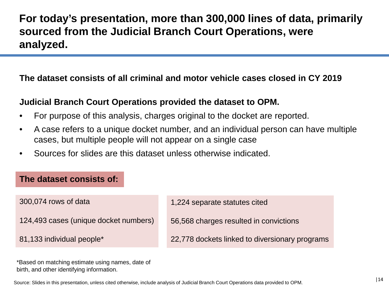### **For today's presentation, more than 300,000 lines of data, primarily sourced from the Judicial Branch Court Operations, were analyzed.**

#### **The dataset consists of all criminal and motor vehicle cases closed in CY 2019**

#### **Judicial Branch Court Operations provided the dataset to OPM.**

- For purpose of this analysis, charges original to the docket are reported.
- A case refers to a unique docket number, and an individual person can have multiple cases, but multiple people will not appear on a single case
- Sources for slides are this dataset unless otherwise indicated.

#### **The dataset consists of:**

300,074 rows of data

124,493 cases (unique docket numbers)

81,133 individual people\*

1,224 separate statutes cited

56,568 charges resulted in convictions

22,778 dockets linked to diversionary programs

\*Based on matching estimate using names, date of birth, and other identifying information.

Source: Slides in this presentation, unless cited otherwise, include analysis of Judicial Branch Court Operations data provided to OPM.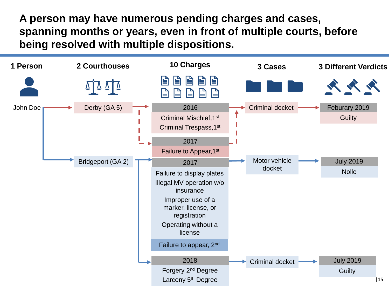**A person may have numerous pending charges and cases, spanning months or years, even in front of multiple courts, before being resolved with multiple dispositions.**

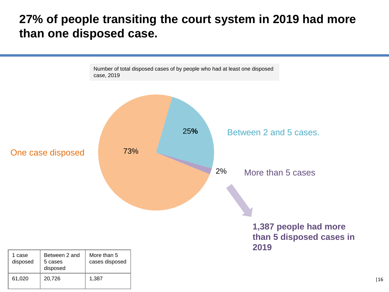## **27% of people transiting the court system in 2019 had more than one disposed case.**

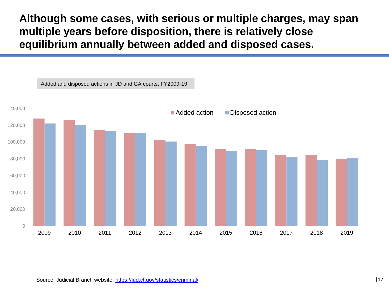**Although some cases, with serious or multiple charges, may span multiple years before disposition, there is relatively close equilibrium annually between added and disposed cases.** 

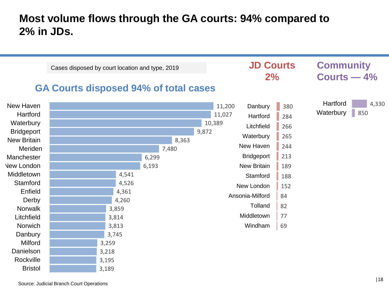#### **Most volume flows through the GA courts: 94% compared to 2% in JDs.**

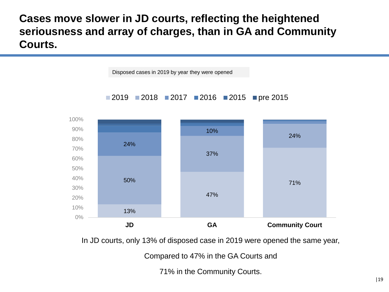**Cases move slower in JD courts, reflecting the heightened seriousness and array of charges, than in GA and Community Courts.** 



In JD courts, only 13% of disposed case in 2019 were opened the same year,

Compared to 47% in the GA Courts and

71% in the Community Courts.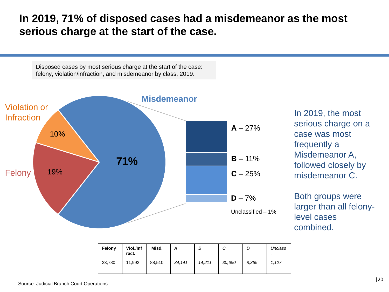#### **In 2019, 71% of disposed cases had a misdemeanor as the most serious charge at the start of the case.**

Disposed cases by most serious charge at the start of the case: felony, violation/infraction, and misdemeanor by class, 2019.



In 2019, the most serious charge on a case was most frequently a Misdemeanor A, followed closely by misdemeanor C.

Both groups were larger than all felonylevel cases combined.

| Felony | Viol./Inf<br>ract. | Misd.  |        | В      | ັ      |       | Unclass |
|--------|--------------------|--------|--------|--------|--------|-------|---------|
| 23,780 | 11.992             | 88,510 | 34,141 | 14.211 | 30,650 | 8,365 | 1.127   |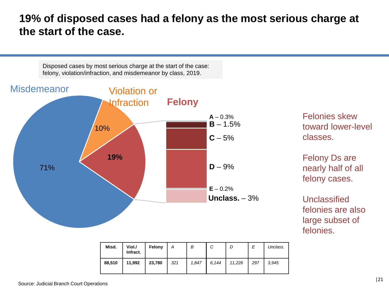**19% of disposed cases had a felony as the most serious charge at the start of the case.**

Disposed cases by most serious charge at the start of the case: felony, violation/infraction, and misdemeanor by class, 2019.



| Misd.  | Viol./<br>Infract. | Felony |     | B     | С     |        |     | Unclass. |
|--------|--------------------|--------|-----|-------|-------|--------|-----|----------|
| 88,510 | 11,992             | 23,780 | 321 | 1,847 | 6,144 | 11,226 | 297 | 3.945    |

Felonies skew toward lower-level classes.

Felony Ds are nearly half of all felony cases.

Unclassified felonies are also large subset of felonies.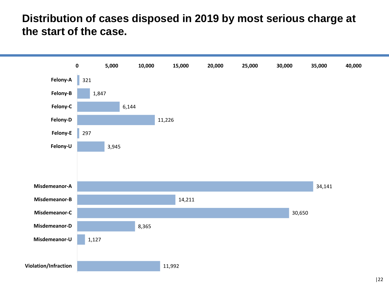#### **Distribution of cases disposed in 2019 by most serious charge at the start of the case.**

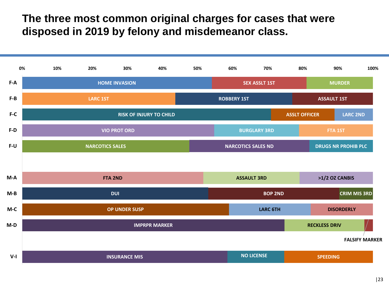#### **The three most common original charges for cases that were disposed in 2019 by felony and misdemeanor class.**

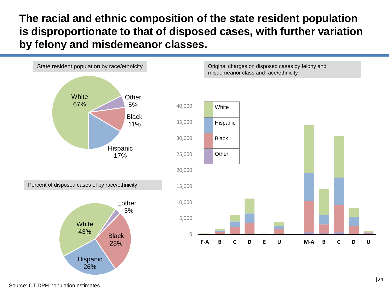#### **The racial and ethnic composition of the state resident population is disproportionate to that of disposed cases, with further variation by felony and misdemeanor classes.**

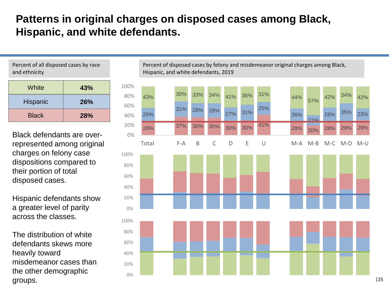### **Patterns in original charges on disposed cases among Black, Hispanic, and white defendants.**

Percent of all disposed cases by race and ethnicity

| White        | 43% |
|--------------|-----|
| Hispanic     | 26% |
| <b>Black</b> | 28% |

Black defendants are overrepresented among original charges on felony case dispositions compared to their portion of total disposed cases.

Hispanic defendants show a greater level of parity across the classes.

The distribution of white defendants skews more heavily toward misdemeanor cases than the other demographic groups.

Percent of disposed cases by felony and misdemeanor original charges among Black, Hispanic, and white defendants, 2019

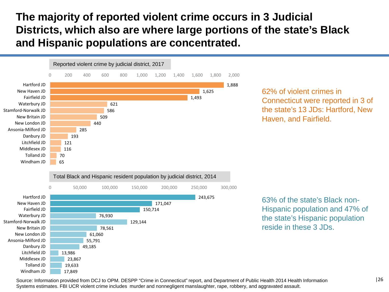**The majority of reported violent crime occurs in 3 Judicial Districts, which also are where large portions of the state's Black and Hispanic populations are concentrated.**



Source: Information provided from DCJ to OPM. DESPP "Crime in Connecticut" report, and Department of Public Health 2014 Health Information Systems estimates. FBI UCR violent crime includes murder and nonnegligent manslaughter, rape, robbery, and aggravated assault.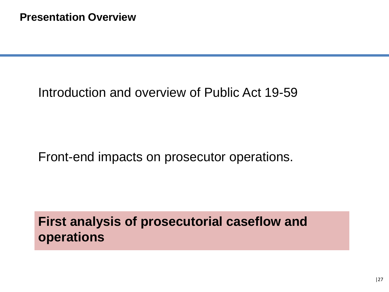# Introduction and overview of Public Act 19-59

## Front-end impacts on prosecutor operations.

**First analysis of prosecutorial caseflow and operations**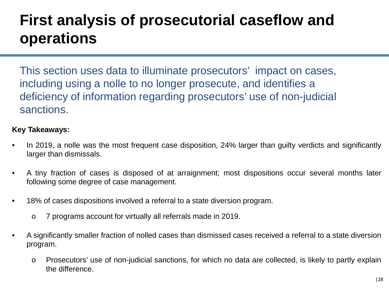# **First analysis of prosecutorial caseflow and operations**

This section uses data to illuminate prosecutors' impact on cases, including using a nolle to no longer prosecute, and identifies a deficiency of information regarding prosecutors' use of non-judicial sanctions.

#### **Key Takeaways:**

- In 2019, a nolle was the most frequent case disposition, 24% larger than guilty verdicts and significantly larger than dismissals.
- A tiny fraction of cases is disposed of at arraignment; most dispositions occur several months later following some degree of case management.
- 18% of cases dispositions involved a referral to a state diversion program.
	- o 7 programs account for virtually all referrals made in 2019.
- A significantly smaller fraction of nolled cases than dismissed cases received a referral to a state diversion program.
	- o Prosecutors' use of non-judicial sanctions, for which no data are collected, is likely to partly explain the difference.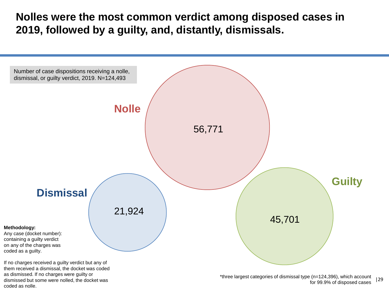**Nolles were the most common verdict among disposed cases in 2019, followed by a guilty, and, distantly, dismissals.**



coded as nolle.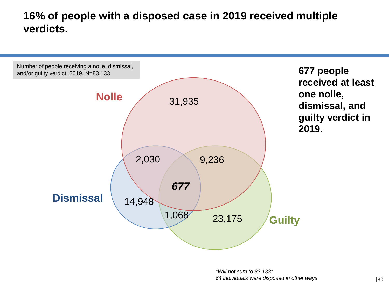### **16% of people with a disposed case in 2019 received multiple verdicts.**

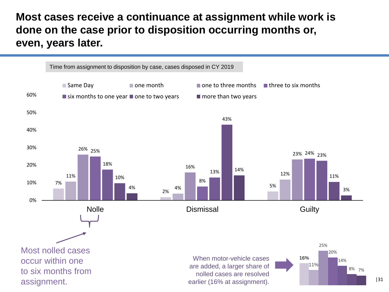#### **Most cases receive a continuance at assignment while work is done on the case prior to disposition occurring months or, even, years later.**



|31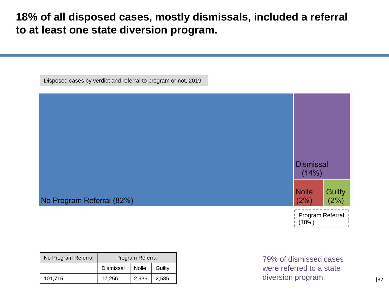#### **18% of all disposed cases, mostly dismissals, included a referral to at least one state diversion program.**

Disposed cases by verdict and referral to program or not, 2019



| No Program Referral | Program Referral |              |        |  |  |
|---------------------|------------------|--------------|--------|--|--|
|                     | Dismissal        | <b>Nolle</b> | Guilty |  |  |
| 101,715             | 17,256           | 2.936        | 2.585  |  |  |

79% of dismissed cases were referred to a state diversion program.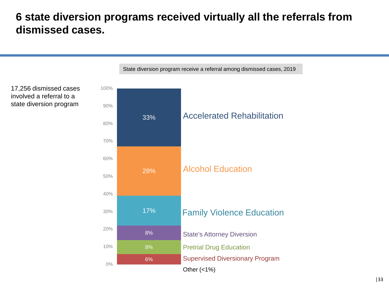#### **6 state diversion programs received virtually all the referrals from dismissed cases.**



|33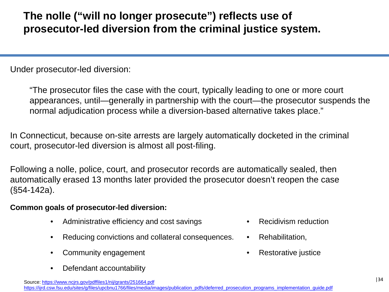## **The nolle ("will no longer prosecute") reflects use of prosecutor-led diversion from the criminal justice system.**

Under prosecutor-led diversion:

"The prosecutor files the case with the court, typically leading to one or more court appearances, until—generally in partnership with the court—the prosecutor suspends the normal adjudication process while a diversion-based alternative takes place."

In Connecticut, because on-site arrests are largely automatically docketed in the criminal court, prosecutor-led diversion is almost all post-filing.

Following a nolle, police, court, and prosecutor records are automatically sealed, then automatically erased 13 months later provided the prosecutor doesn't reopen the case (§54-142a).

#### **Common goals of prosecutor-led diversion:**

- Administrative efficiency and cost savings
- Reducing convictions and collateral consequences.
- Community engagement
- Defendant accountability
- Recidivism reduction
- Rehabilitation.
- Restorative justice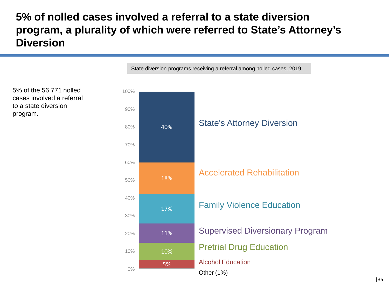### **5% of nolled cases involved a referral to a state diversion program, a plurality of which were referred to State's Attorney's Diversion**

5% 10% 11% 17% 18% 40% 0% 10% 20% 30% 40% 50% 60% 70% 80% 90% 100% Accelerated Rehabilitation Alcohol Education Family Violence Education State's Attorney Diversion Pretrial Drug Education Supervised Diversionary Program Other (1%)

State diversion programs receiving a referral among nolled cases, 2019

5% of the 56,771 nolled cases involved a referral to a state diversion program.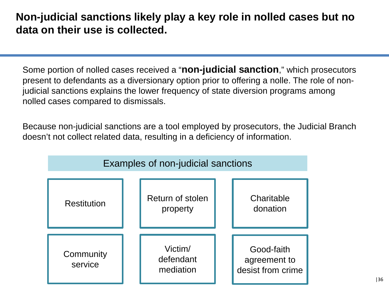#### **Non-judicial sanctions likely play a key role in nolled cases but no data on their use is collected.**

Some portion of nolled cases received a "**non-judicial sanction**," which prosecutors present to defendants as a diversionary option prior to offering a nolle. The role of nonjudicial sanctions explains the lower frequency of state diversion programs among nolled cases compared to dismissals.

Because non-judicial sanctions are a tool employed by prosecutors, the Judicial Branch doesn't not collect related data, resulting in a deficiency of information.

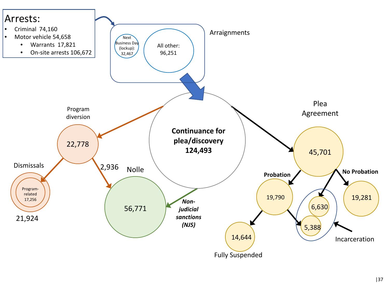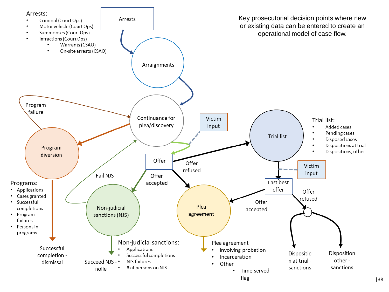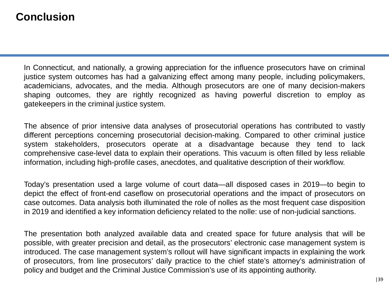#### **Conclusion**

In Connecticut, and nationally, a growing appreciation for the influence prosecutors have on criminal justice system outcomes has had a galvanizing effect among many people, including policymakers, academicians, advocates, and the media. Although prosecutors are one of many decision-makers shaping outcomes, they are rightly recognized as having powerful discretion to employ as gatekeepers in the criminal justice system.

The absence of prior intensive data analyses of prosecutorial operations has contributed to vastly different perceptions concerning prosecutorial decision-making. Compared to other criminal justice system stakeholders, prosecutors operate at a disadvantage because they tend to lack comprehensive case-level data to explain their operations. This vacuum is often filled by less reliable information, including high-profile cases, anecdotes, and qualitative description of their workflow.

Today's presentation used a large volume of court data—all disposed cases in 2019—to begin to depict the effect of front-end caseflow on prosecutorial operations and the impact of prosecutors on case outcomes. Data analysis both illuminated the role of nolles as the most frequent case disposition in 2019 and identified a key information deficiency related to the nolle: use of non-judicial sanctions.

The presentation both analyzed available data and created space for future analysis that will be possible, with greater precision and detail, as the prosecutors' electronic case management system is introduced. The case management system's rollout will have significant impacts in explaining the work of prosecutors, from line prosecutors' daily practice to the chief state's attorney's administration of policy and budget and the Criminal Justice Commission's use of its appointing authority.